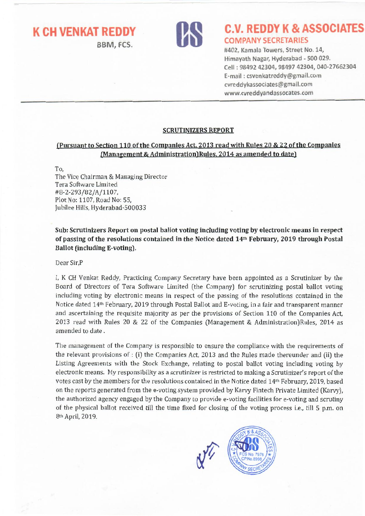**BBM, FCS.** 



## **COMPANY SECRETARIES K CH VENKAT REDDY BELOW C.V. REDDY K & ASSOCIATES**

#402, Kamala Towers, Street No. 14, Himayath Nagar, Hyderabad - 500 029. Cell : 98492 42304, 98497 42304, 040-27662304 E-mail : csvenkatreddy@gmail.com cvreddykassociates@gmail.com www.cvreddyandassocates.com

## SCRUTINIZERS REPORT

## (Pursuant to Section 110 of the Companies Act. 2013 read with Rules 20 & 22 of the Companies (Management & Administration)Rules, 2014 as amended to date)

## To,

The Vice Chairman & Managing Director Tera Software Limited #8-2-293/82/A/1107, Plot No: 1107, Road No: 55, Jubilee Hills, Hyderabad-500033

Sub: Scrutinizers Report on postal ballot voting including voting by electronic means in respect of passing of the resolutions contained in the Notice dated 14lh February, 2019 through Postal Ballot (including E-voting).

Dear Sir,P

I, K CH Venkat Reddy, Practicing Company Secretary have been appointed as a Scrutinizer by the Board of Directors of Tera Software Limited (the Company) for scrutinizing postal ballot voting including voting by electronic means in respect of the passing of the resolutions contained in the Notice dated 14th February, 2019 through Postal Ballot and E-voting, in a fair and transparent manner and ascertaining the requisite majority as per the provisions of Section 110 of the Companies Act, 2013 read with Rules 20 & 22 of the Companies (Management & Administration)Rules, 2014 as amended to date .

The management of the Company is responsible to ensure the compliance with the requirements of the relevant provisions of : (i) the Companies Act, 2013 and the Rules made thereunder and (ii) the Listing Agreements with the Stock Exchange, relating to postal ballot voting including voting by electronic means. My responsibility as a scrutinizer is restricted to making a Scrutinizer's report of the votes cast by the members for the resolutions contained in the Notice dated 14th February, 2019, based on the reports generated from the e-voting system provided by Karvy Fintech Private Limited (Karvy), the authorized agency engaged by the Company to provide e-voting facilities for e-voting and scrutiny of the physical ballot received till the time fixed for closing of the voting process i.e., till 5 p.m. on 8<sup>th</sup> April, 2019.

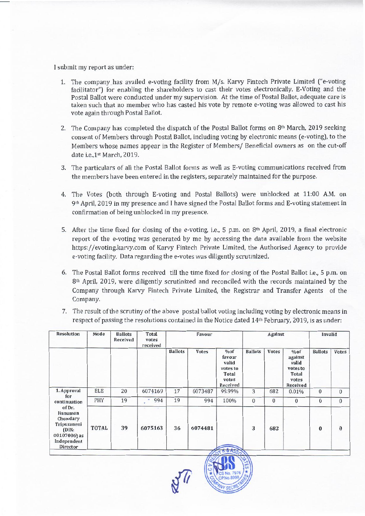I submit my report as under:

- 1. The company has availed e-voting facility from M/s. Karvy Fintech Private Limited ("e-voting facilitator") for enabling the shareholders to cast their votes electronically. E-Voting and the Postal Ballot were conducted under my supervision. At the time of Postal Ballot, adequate care is taken such that no member who has casted his vote by remote e-voting was allowed to cast his vote again through Postal Ballot.
- 2. The Company has completed the dispatch of the Postal Ballot forms on 8th March, 2019 seeking consent of Members through Postal Ballot, including voting by electronic means (e-voting), to the Members whose names appear in the Register of Members/ Beneficial owners as on the cut-off date i.e.,1<sup>st</sup> March, 2019.
- 3. The particulars of all the Postal Ballot forms as well as E-voting communications received from the members have been entered in the registers, separately maintained for the purpose.
- 4. The Votes (both through E-voting and Postal Ballots) were unblocked at 11:00 A.M. on 9th April, 2019 in my presence and I have signed the Postal Ballot forms and E-voting statement in confirmation of being unblocked in my presence.
- 5. After the time fixed for closing of the e-voting, i.e., 5 p.m. on 8th April, 2019, a final electronic report of the e-voting was generated by me by accessing the data available from the website https://evoting.karvy.com of Karvy Fintech Private Limited, the Authorised Agency to provide e-voting facility. Data regarding the e-votes was diligently scrutinized.
- 6. The Postal Ballot forms received till the time fixed for closing of the Postal Ballot i.e., 5 p.m. on 8th April, 2019, were diligently scrutinized and reconciled with the records maintained by the Company through Karvy Fintech Private Limited, the Registrar and Transfer Agents of the Company.
- 7. The result of the scrutiny of the above postal ballot voting including voting by electronic means in respect of passing the resolutions contained in the Notice dated 14th February, 2019, is as under:

| Resolution                                                                                                                             | Mode         | <b>Ballots</b><br>Received | Total<br>votes<br>received | Favour         |              |                                                                  | Against        |              |                                                                   | Invalid        |              |
|----------------------------------------------------------------------------------------------------------------------------------------|--------------|----------------------------|----------------------------|----------------|--------------|------------------------------------------------------------------|----------------|--------------|-------------------------------------------------------------------|----------------|--------------|
|                                                                                                                                        |              |                            |                            | <b>Ballots</b> | <b>Votes</b> | %of<br>favour<br>valid<br>votes to<br>Total<br>votes<br>Received | <b>Ballots</b> | <b>Votes</b> | %of<br>against<br>valid<br>votes to<br>Total<br>votes<br>Received | <b>Ballots</b> | Votes        |
| 1. Approval<br>for<br>continuation<br>of Dr.<br>Hanuman<br>Chowdary<br>Tripuraneni<br>(DIN:<br>00107006) as<br>Independent<br>Director | <b>ELE</b>   | 20                         | 6074169                    | 17             | 6073487      | 99.99%                                                           | 3              | 682          | 0.01%                                                             | $\mathbf{0}$   | $\mathbf{0}$ |
|                                                                                                                                        | <b>PHY</b>   | 19                         | 994                        | 19             | 994          | 100%                                                             | $\mathbf{0}$   | $\bf{0}$     | 0                                                                 | $\mathbf{0}$   | $\mathbf{0}$ |
|                                                                                                                                        | <b>TOTAL</b> | 39                         | 6075163                    | 36             | 6074481      | KaASSA                                                           | 3              | 682          |                                                                   | $\bf{0}$       | $\bf{0}$     |